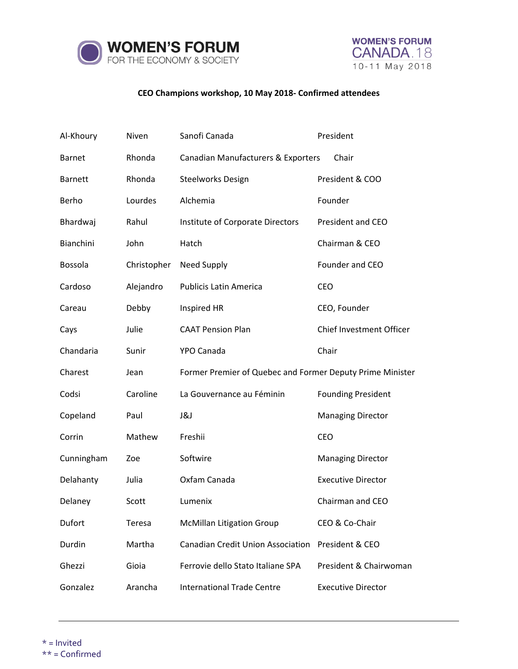



## **CEO Champions workshop, 10 May 2018- Confirmed attendees**

| Al-Khoury      | Niven       | Sanofi Canada                                             | President                 |
|----------------|-------------|-----------------------------------------------------------|---------------------------|
| <b>Barnet</b>  | Rhonda      | Canadian Manufacturers & Exporters                        | Chair                     |
| <b>Barnett</b> | Rhonda      | <b>Steelworks Design</b>                                  | President & COO           |
| Berho          | Lourdes     | Alchemia                                                  | Founder                   |
| Bhardwaj       | Rahul       | Institute of Corporate Directors                          | President and CEO         |
| Bianchini      | John        | Hatch                                                     | Chairman & CEO            |
| Bossola        | Christopher | Need Supply                                               | Founder and CEO           |
| Cardoso        | Alejandro   | <b>Publicis Latin America</b>                             | <b>CEO</b>                |
| Careau         | Debby       | Inspired HR                                               | CEO, Founder              |
| Cays           | Julie       | <b>CAAT Pension Plan</b>                                  | Chief Investment Officer  |
| Chandaria      | Sunir       | YPO Canada                                                | Chair                     |
| Charest        | Jean        | Former Premier of Quebec and Former Deputy Prime Minister |                           |
| Codsi          | Caroline    | La Gouvernance au Féminin                                 | <b>Founding President</b> |
| Copeland       | Paul        | J&J                                                       | <b>Managing Director</b>  |
| Corrin         | Mathew      | Freshii                                                   | CEO                       |
| Cunningham     | Zoe         | Softwire                                                  | <b>Managing Director</b>  |
| Delahanty      | Julia       | Oxfam Canada                                              | <b>Executive Director</b> |
| Delaney        | Scott       | Lumenix                                                   | Chairman and CEO          |
| Dufort         | Teresa      | <b>McMillan Litigation Group</b>                          | CEO & Co-Chair            |
| Durdin         | Martha      | <b>Canadian Credit Union Association</b>                  | President & CEO           |
| Ghezzi         | Gioia       | Ferrovie dello Stato Italiane SPA                         | President & Chairwoman    |
| Gonzalez       | Arancha     | <b>International Trade Centre</b>                         | <b>Executive Director</b> |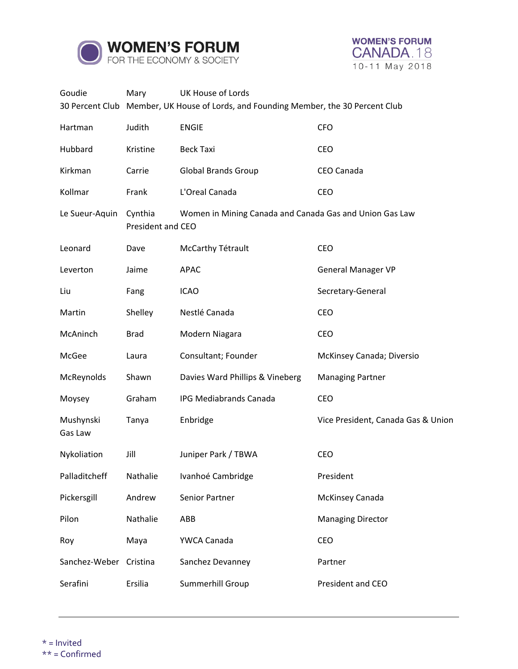



| Goudie                 | Mary                         | UK House of Lords<br>30 Percent Club Member, UK House of Lords, and Founding Member, the 30 Percent Club |                                    |  |
|------------------------|------------------------------|----------------------------------------------------------------------------------------------------------|------------------------------------|--|
|                        |                              |                                                                                                          | <b>CFO</b>                         |  |
| Hartman                | Judith                       | <b>ENGIE</b>                                                                                             |                                    |  |
| Hubbard                | Kristine                     | <b>Beck Taxi</b>                                                                                         | <b>CEO</b>                         |  |
| Kirkman                | Carrie                       | <b>Global Brands Group</b>                                                                               | CEO Canada                         |  |
| Kollmar                | Frank                        | L'Oreal Canada                                                                                           | <b>CEO</b>                         |  |
| Le Sueur-Aquin         | Cynthia<br>President and CEO | Women in Mining Canada and Canada Gas and Union Gas Law                                                  |                                    |  |
| Leonard                | Dave                         | McCarthy Tétrault                                                                                        | CEO                                |  |
| Leverton               | Jaime                        | <b>APAC</b>                                                                                              | <b>General Manager VP</b>          |  |
| Liu                    | Fang                         | <b>ICAO</b>                                                                                              | Secretary-General                  |  |
| Martin                 | Shelley                      | Nestlé Canada                                                                                            | <b>CEO</b>                         |  |
| McAninch               | <b>Brad</b>                  | Modern Niagara                                                                                           | CEO                                |  |
| McGee                  | Laura                        | Consultant; Founder                                                                                      | McKinsey Canada; Diversio          |  |
| McReynolds             | Shawn                        | Davies Ward Phillips & Vineberg                                                                          | <b>Managing Partner</b>            |  |
| Moysey                 | Graham                       | <b>IPG Mediabrands Canada</b>                                                                            | CEO                                |  |
| Mushynski<br>Gas Law   | Tanya                        | Enbridge                                                                                                 | Vice President, Canada Gas & Union |  |
| Nykoliation            | Jill                         | Juniper Park / TBWA                                                                                      | CEO                                |  |
| Palladitcheff          | Nathalie                     | Ivanhoé Cambridge                                                                                        | President                          |  |
| Pickersgill            | Andrew                       | Senior Partner                                                                                           | McKinsey Canada                    |  |
| Pilon                  | Nathalie                     | ABB                                                                                                      | <b>Managing Director</b>           |  |
| Roy                    | Maya                         | YWCA Canada                                                                                              | <b>CEO</b>                         |  |
| Sanchez-Weber Cristina |                              | Sanchez Devanney                                                                                         | Partner                            |  |
| Serafini               | Ersilia                      | Summerhill Group                                                                                         | President and CEO                  |  |